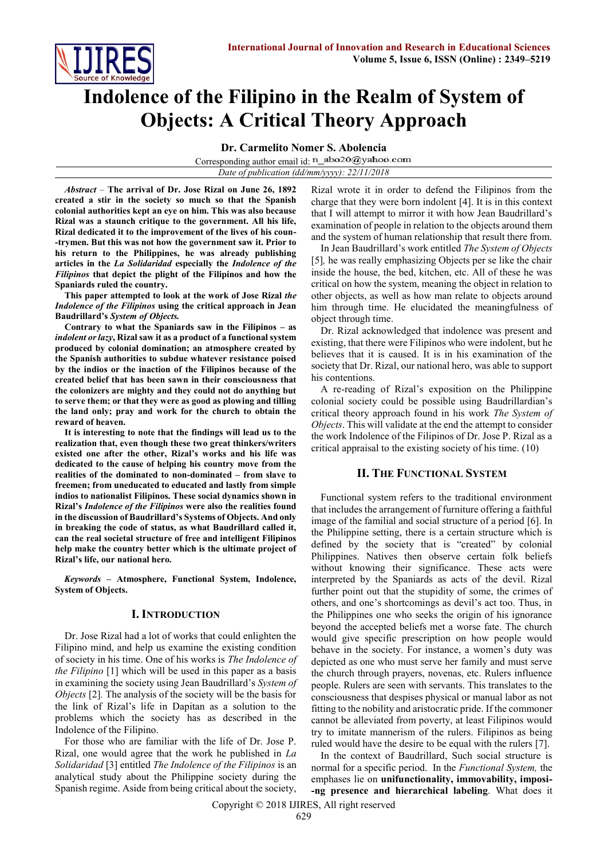

# **Indolence of the Filipino in the Realm of System of Objects: A Critical Theory Approach**

**Dr. Carmelito Nomer S. Abolencia**

Corresponding author email id: n\_abo20@yahoo.com

*Date of publication (dd/mm/yyyy): 22/11/2018*

*Abstract* – **The arrival of Dr. Jose Rizal on June 26, 1892 created a stir in the society so much so that the Spanish colonial authorities kept an eye on him. This was also because Rizal was a staunch critique to the government. All his life, Rizal dedicated it to the improvement of the lives of his coun- -trymen. But this was not how the government saw it. Prior to his return to the Philippines, he was already publishing articles in the** *La Solidaridad* **especially the** *Indolence of the Filipinos* **that depict the plight of the Filipinos and how the Spaniards ruled the country.** 

**This paper attempted to look at the work of Jose Rizal** *the Indolence of the Filipinos* **using the critical approach in Jean Baudrillard's** *System of Objects.*

**Contrary to what the Spaniards saw in the Filipinos – as**  *indolent or lazy***, Rizal saw it as a product of a functional system produced by colonial domination; an atmosphere created by the Spanish authorities to subdue whatever resistance poised by the indios or the inaction of the Filipinos because of the created belief that has been sawn in their consciousness that the colonizers are mighty and they could not do anything but to serve them; or that they were as good as plowing and tilling the land only; pray and work for the church to obtain the reward of heaven.**

**It is interesting to note that the findings will lead us to the realization that, even though these two great thinkers/writers existed one after the other, Rizal's works and his life was dedicated to the cause of helping his country move from the realities of the dominated to non-dominated – from slave to freemen; from uneducated to educated and lastly from simple indios to nationalist Filipinos. These social dynamics shown in Rizal's** *Indolence of the Filipinos* **were also the realities found in the discussion of Baudrillard's Systems of Objects. And only in breaking the code of status, as what Baudrillard called it, can the real societal structure of free and intelligent Filipinos help make the country better which is the ultimate project of Rizal's life, our national hero.**

*Keywords* **– Atmosphere, Functional System, Indolence, System of Objects.** 

### **I. INTRODUCTION**

Dr. Jose Rizal had a lot of works that could enlighten the Filipino mind, and help us examine the existing condition of society in his time. One of his works is *The Indolence of the Filipino* [1] which will be used in this paper as a basis in examining the society using Jean Baudrillard's *System of Objects* [2]*.* The analysis of the society will be the basis for the link of Rizal's life in Dapitan as a solution to the problems which the society has as described in the Indolence of the Filipino.

For those who are familiar with the life of Dr. Jose P. Rizal, one would agree that the work he published in *La Solidaridad* [3] entitled *The Indolence of the Filipinos* is an analytical study about the Philippine society during the Spanish regime. Aside from being critical about the society, Rizal wrote it in order to defend the Filipinos from the charge that they were born indolent [4]. It is in this context that I will attempt to mirror it with how Jean Baudrillard's examination of people in relation to the objects around them and the system of human relationship that result there from.

In Jean Baudrillard's work entitled *The System of Objects*  [5]*,* he was really emphasizing Objects per se like the chair inside the house, the bed, kitchen, etc. All of these he was critical on how the system, meaning the object in relation to other objects, as well as how man relate to objects around him through time. He elucidated the meaningfulness of object through time.

Dr. Rizal acknowledged that indolence was present and existing, that there were Filipinos who were indolent, but he believes that it is caused. It is in his examination of the society that Dr. Rizal, our national hero, was able to support his contentions.

A re-reading of Rizal's exposition on the Philippine colonial society could be possible using Baudrillardian's critical theory approach found in his work *The System of Objects*. This will validate at the end the attempt to consider the work Indolence of the Filipinos of Dr. Jose P. Rizal as a critical appraisal to the existing society of his time. (10)

# **II. THE FUNCTIONAL SYSTEM**

Functional system refers to the traditional environment that includes the arrangement of furniture offering a faithful image of the familial and social structure of a period [6]. In the Philippine setting, there is a certain structure which is defined by the society that is "created" by colonial Philippines. Natives then observe certain folk beliefs without knowing their significance. These acts were interpreted by the Spaniards as acts of the devil. Rizal further point out that the stupidity of some, the crimes of others, and one's shortcomings as devil's act too. Thus, in the Philippines one who seeks the origin of his ignorance beyond the accepted beliefs met a worse fate. The church would give specific prescription on how people would behave in the society. For instance, a women's duty was depicted as one who must serve her family and must serve the church through prayers, novenas, etc. Rulers influence people. Rulers are seen with servants. This translates to the consciousness that despises physical or manual labor as not fitting to the nobility and aristocratic pride. If the commoner cannot be alleviated from poverty, at least Filipinos would try to imitate mannerism of the rulers. Filipinos as being ruled would have the desire to be equal with the rulers [7].

In the context of Baudrillard, Such social structure is normal for a specific period. In the *Functional System,* the emphases lie on **unifunctionality, immovability, imposi- -ng presence and hierarchical labeling**. What does it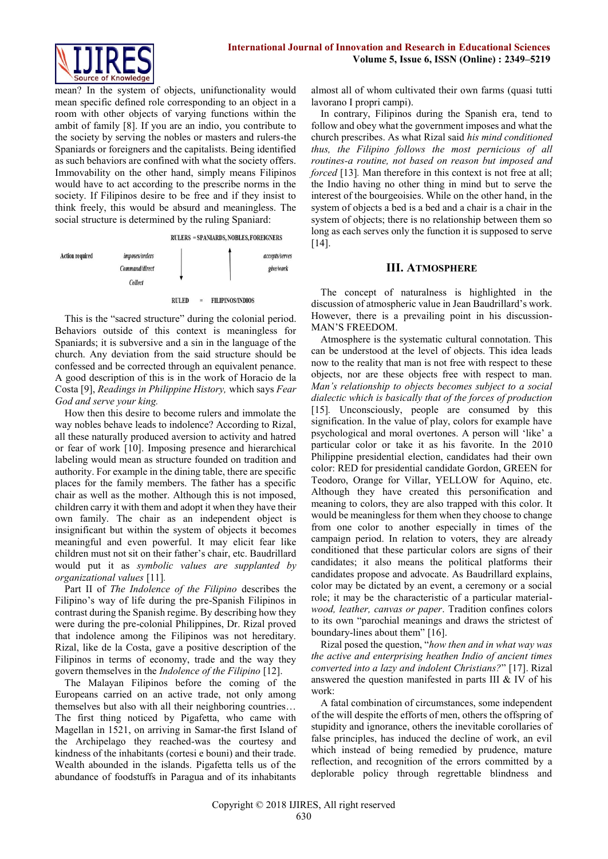

mean? In the system of objects, unifunctionality would mean specific defined role corresponding to an object in a room with other objects of varying functions within the ambit of family [8]. If you are an indio, you contribute to the society by serving the nobles or masters and rulers-the Spaniards or foreigners and the capitalists. Being identified as such behaviors are confined with what the society offers. Immovability on the other hand, simply means Filipinos would have to act according to the prescribe norms in the society. If Filipinos desire to be free and if they insist to think freely, this would be absurd and meaningless. The social structure is determined by the ruling Spaniard:



This is the "sacred structure" during the colonial period. Behaviors outside of this context is meaningless for Spaniards; it is subversive and a sin in the language of the church. Any deviation from the said structure should be confessed and be corrected through an equivalent penance. A good description of this is in the work of Horacio de la Costa [9], *Readings in Philippine History,* which says *Fear God and serve your king.*

How then this desire to become rulers and immolate the way nobles behave leads to indolence? According to Rizal, all these naturally produced aversion to activity and hatred or fear of work [10]. Imposing presence and hierarchical labeling would mean as structure founded on tradition and authority. For example in the dining table, there are specific places for the family members. The father has a specific chair as well as the mother. Although this is not imposed, children carry it with them and adopt it when they have their own family. The chair as an independent object is insignificant but within the system of objects it becomes meaningful and even powerful. It may elicit fear like children must not sit on their father's chair, etc. Baudrillard would put it as *symbolic values are supplanted by organizational values* [11]*.*

Part II of *The Indolence of the Filipino* describes the Filipino's way of life during the pre-Spanish Filipinos in contrast during the Spanish regime. By describing how they were during the pre-colonial Philippines, Dr. Rizal proved that indolence among the Filipinos was not hereditary. Rizal, like de la Costa, gave a positive description of the Filipinos in terms of economy, trade and the way they govern themselves in the *Indolence of the Filipino* [12].

The Malayan Filipinos before the coming of the Europeans carried on an active trade, not only among themselves but also with all their neighboring countries… The first thing noticed by Pigafetta, who came with Magellan in 1521, on arriving in Samar-the first Island of the Archipelago they reached-was the courtesy and kindness of the inhabitants (cortesi e bouni) and their trade. Wealth abounded in the islands. Pigafetta tells us of the abundance of foodstuffs in Paragua and of its inhabitants

almost all of whom cultivated their own farms (quasi tutti lavorano I propri campi).

In contrary, Filipinos during the Spanish era, tend to follow and obey what the government imposes and what the church prescribes. As what Rizal said *his mind conditioned thus, the Filipino follows the most pernicious of all routines-a routine, not based on reason but imposed and forced* [13]. Man therefore in this context is not free at all; the Indio having no other thing in mind but to serve the interest of the bourgeoisies. While on the other hand, in the system of objects a bed is a bed and a chair is a chair in the system of objects; there is no relationship between them so long as each serves only the function it is supposed to serve [14].

## **III. ATMOSPHERE**

The concept of naturalness is highlighted in the discussion of atmospheric value in Jean Baudrillard's work. However, there is a prevailing point in his discussion-MAN'S FREEDOM.

Atmosphere is the systematic cultural connotation. This can be understood at the level of objects. This idea leads now to the reality that man is not free with respect to these objects, nor are these objects free with respect to man. *Man's relationship to objects becomes subject to a social dialectic which is basically that of the forces of production* [15]*.* Unconsciously, people are consumed by this signification. In the value of play, colors for example have psychological and moral overtones. A person will 'like' a particular color or take it as his favorite. In the 2010 Philippine presidential election, candidates had their own color: RED for presidential candidate Gordon, GREEN for Teodoro, Orange for Villar, YELLOW for Aquino, etc. Although they have created this personification and meaning to colors, they are also trapped with this color. It would be meaningless for them when they choose to change from one color to another especially in times of the campaign period. In relation to voters, they are already conditioned that these particular colors are signs of their candidates; it also means the political platforms their candidates propose and advocate. As Baudrillard explains, color may be dictated by an event, a ceremony or a social role; it may be the characteristic of a particular material*wood, leather, canvas or paper*. Tradition confines colors to its own "parochial meanings and draws the strictest of boundary-lines about them" [16].

Rizal posed the question, "*how then and in what way was the active and enterprising heathen Indio of ancient times converted into a lazy and indolent Christians?*" [17]. Rizal answered the question manifested in parts III & IV of his work:

A fatal combination of circumstances, some independent of the will despite the efforts of men, others the offspring of stupidity and ignorance, others the inevitable corollaries of false principles, has induced the decline of work, an evil which instead of being remedied by prudence, mature reflection, and recognition of the errors committed by a deplorable policy through regrettable blindness and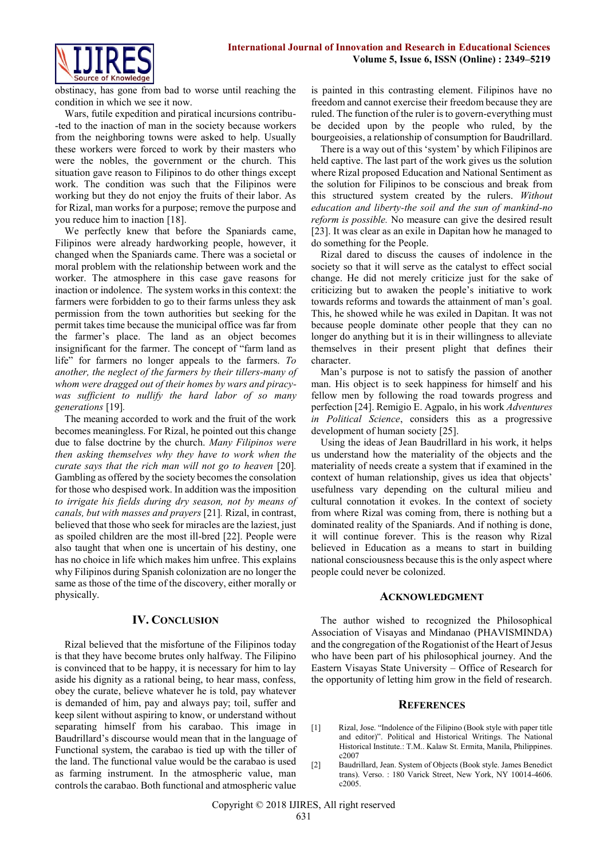

obstinacy, has gone from bad to worse until reaching the condition in which we see it now.

Wars, futile expedition and piratical incursions contribu- -ted to the inaction of man in the society because workers from the neighboring towns were asked to help. Usually these workers were forced to work by their masters who were the nobles, the government or the church. This situation gave reason to Filipinos to do other things except work. The condition was such that the Filipinos were working but they do not enjoy the fruits of their labor. As for Rizal, man works for a purpose; remove the purpose and you reduce him to inaction [18].

We perfectly knew that before the Spaniards came, Filipinos were already hardworking people, however, it changed when the Spaniards came. There was a societal or moral problem with the relationship between work and the worker. The atmosphere in this case gave reasons for inaction or indolence. The system works in this context: the farmers were forbidden to go to their farms unless they ask permission from the town authorities but seeking for the permit takes time because the municipal office was far from the farmer's place. The land as an object becomes insignificant for the farmer. The concept of "farm land as life" for farmers no longer appeals to the farmers. *To another, the neglect of the farmers by their tillers-many of whom were dragged out of their homes by wars and piracywas sufficient to nullify the hard labor of so many generations* [19]*.*

The meaning accorded to work and the fruit of the work becomes meaningless. For Rizal, he pointed out this change due to false doctrine by the church. *Many Filipinos were then asking themselves why they have to work when the curate says that the rich man will not go to heaven* [20]*.* Gambling as offered by the society becomes the consolation for those who despised work. In addition was the imposition *to irrigate his fields during dry season, not by means of canals, but with masses and prayers* [21]*.* Rizal, in contrast, believed that those who seek for miracles are the laziest, just as spoiled children are the most ill-bred [22]. People were also taught that when one is uncertain of his destiny, one has no choice in life which makes him unfree. This explains why Filipinos during Spanish colonization are no longer the same as those of the time of the discovery, either morally or physically.

### **IV. CONCLUSION**

Rizal believed that the misfortune of the Filipinos today is that they have become brutes only halfway. The Filipino is convinced that to be happy, it is necessary for him to lay aside his dignity as a rational being, to hear mass, confess, obey the curate, believe whatever he is told, pay whatever is demanded of him, pay and always pay; toil, suffer and keep silent without aspiring to know, or understand without separating himself from his carabao. This image in Baudrillard's discourse would mean that in the language of Functional system, the carabao is tied up with the tiller of the land. The functional value would be the carabao is used as farming instrument. In the atmospheric value, man controls the carabao. Both functional and atmospheric value

is painted in this contrasting element. Filipinos have no freedom and cannot exercise their freedom because they are ruled. The function of the ruler is to govern-everything must be decided upon by the people who ruled, by the bourgeoisies, a relationship of consumption for Baudrillard.

There is a way out of this 'system' by which Filipinos are held captive. The last part of the work gives us the solution where Rizal proposed Education and National Sentiment as the solution for Filipinos to be conscious and break from this structured system created by the rulers. *Without education and liberty-the soil and the sun of mankind-no reform is possible.* No measure can give the desired result [23]. It was clear as an exile in Dapitan how he managed to do something for the People.

Rizal dared to discuss the causes of indolence in the society so that it will serve as the catalyst to effect social change. He did not merely criticize just for the sake of criticizing but to awaken the people's initiative to work towards reforms and towards the attainment of man's goal. This, he showed while he was exiled in Dapitan. It was not because people dominate other people that they can no longer do anything but it is in their willingness to alleviate themselves in their present plight that defines their character.

Man's purpose is not to satisfy the passion of another man. His object is to seek happiness for himself and his fellow men by following the road towards progress and perfection [24]. Remigio E. Agpalo, in his work *Adventures in Political Science*, considers this as a progressive development of human society [25].

Using the ideas of Jean Baudrillard in his work, it helps us understand how the materiality of the objects and the materiality of needs create a system that if examined in the context of human relationship, gives us idea that objects' usefulness vary depending on the cultural milieu and cultural connotation it evokes. In the context of society from where Rizal was coming from, there is nothing but a dominated reality of the Spaniards. And if nothing is done, it will continue forever. This is the reason why Rizal believed in Education as a means to start in building national consciousness because this is the only aspect where people could never be colonized.

#### **ACKNOWLEDGMENT**

The author wished to recognized the Philosophical Association of Visayas and Mindanao (PHAVISMINDA) and the congregation of the Rogationist of the Heart of Jesus who have been part of his philosophical journey. And the Eastern Visayas State University – Office of Research for the opportunity of letting him grow in the field of research.

#### **REFERENCES**

- [1] Rizal, Jose. "Indolence of the Filipino (Book style with paper title and editor)". Political and Historical Writings. The National Historical Institute.: T.M.. Kalaw St. Ermita, Manila, Philippines. c2007
- [2] Baudrillard, Jean. System of Objects (Book style. James Benedict trans). Verso. : 180 Varick Street, New York, NY 10014-4606. c2005.